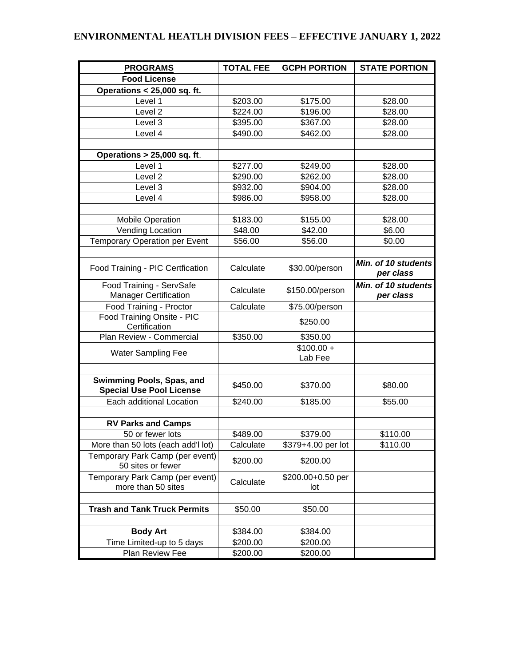## **ENVIRONMENTAL HEATLH DIVISION FEES – EFFECTIVE JANUARY 1, 2022**

| <b>PROGRAMS</b>                                              | <b>TOTAL FEE</b> | <b>GCPH PORTION</b> | <b>STATE PORTION</b> |
|--------------------------------------------------------------|------------------|---------------------|----------------------|
| <b>Food License</b>                                          |                  |                     |                      |
| <b>Operations &lt; 25,000 sq. ft.</b>                        |                  |                     |                      |
| Level 1                                                      | \$203.00         | \$175.00            | \$28.00              |
| Level <sub>2</sub>                                           | \$224.00         | \$196.00            | \$28.00              |
| Level 3                                                      | \$395.00         | \$367.00            | \$28.00              |
| Level 4                                                      | \$490.00         | \$462.00            | \$28.00              |
|                                                              |                  |                     |                      |
| Operations > 25,000 sq. ft.                                  |                  |                     |                      |
| Level 1                                                      | \$277.00         | \$249.00            | \$28.00              |
| Level 2                                                      | \$290.00         | \$262.00            | \$28.00              |
| Level 3                                                      | \$932.00         | \$904.00            | \$28.00              |
| Level 4                                                      | \$986.00         | \$958.00            | \$28.00              |
|                                                              |                  |                     |                      |
| <b>Mobile Operation</b>                                      | \$183.00         | \$155.00            | \$28.00              |
| Vending Location                                             | \$48.00          | \$42.00             | \$6.00               |
| <b>Temporary Operation per Event</b>                         | \$56.00          | \$56.00             | \$0.00               |
|                                                              |                  |                     |                      |
| Food Training - PIC Certfication                             | Calculate        | \$30.00/person      | Min. of 10 students  |
|                                                              |                  |                     | per class            |
| Food Training - ServSafe                                     | Calculate        | \$150.00/person     | Min. of 10 students  |
| <b>Manager Certification</b>                                 |                  |                     | per class            |
| Food Training - Proctor                                      | Calculate        | \$75.00/person      |                      |
| Food Training Onsite - PIC<br>Certification                  |                  | \$250.00            |                      |
| Plan Review - Commercial                                     | \$350.00         | \$350.00            |                      |
|                                                              |                  | $$100.00 +$         |                      |
| <b>Water Sampling Fee</b>                                    |                  | Lab Fee             |                      |
|                                                              |                  |                     |                      |
| Swimming Pools, Spas, and<br><b>Special Use Pool License</b> | \$450.00         | \$370.00            | \$80.00              |
| Each additional Location                                     | \$240.00         | \$185.00            | \$55.00              |
|                                                              |                  |                     |                      |
| <b>RV Parks and Camps</b>                                    |                  |                     |                      |
| 50 or fewer lots                                             | \$489.00         | \$379.00            | \$110.00             |
| More than 50 lots (each add'l lot)                           | Calculate        | \$379+4.00 per lot  | \$110.00             |
| Temporary Park Camp (per event)                              | \$200.00         | \$200.00            |                      |
| 50 sites or fewer                                            |                  |                     |                      |
| Temporary Park Camp (per event)                              | Calculate        | \$200.00+0.50 per   |                      |
| more than 50 sites                                           |                  | lot                 |                      |
|                                                              |                  |                     |                      |
| <b>Trash and Tank Truck Permits</b>                          | \$50.00          | \$50.00             |                      |
|                                                              |                  |                     |                      |
| <b>Body Art</b>                                              | \$384.00         | \$384.00            |                      |
| Time Limited-up to 5 days                                    | \$200.00         | \$200.00            |                      |
| Plan Review Fee                                              | \$200.00         | \$200.00            |                      |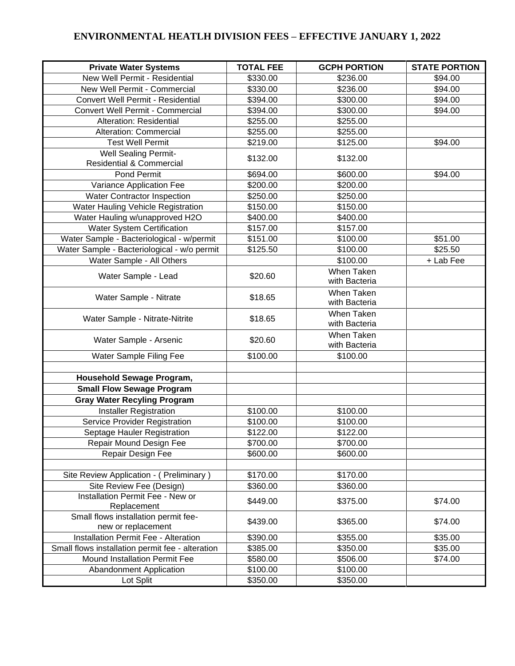## **ENVIRONMENTAL HEATLH DIVISION FEES – EFFECTIVE JANUARY 1, 2022**

| <b>Private Water Systems</b>                                       | <b>TOTAL FEE</b> | <b>GCPH PORTION</b>                | <b>STATE PORTION</b> |
|--------------------------------------------------------------------|------------------|------------------------------------|----------------------|
| New Well Permit - Residential                                      | \$330.00         | \$236.00                           | \$94.00              |
| New Well Permit - Commercial                                       | \$330.00         | \$236.00                           | \$94.00              |
| Convert Well Permit - Residential                                  | \$394.00         | \$300.00                           | \$94.00              |
| Convert Well Permit - Commercial                                   | \$394.00         | \$300.00                           | \$94.00              |
| Alteration: Residential                                            | \$255.00         | \$255.00                           |                      |
| <b>Alteration: Commercial</b>                                      | \$255.00         | \$255.00                           |                      |
| <b>Test Well Permit</b>                                            | \$219.00         | \$125.00                           | \$94.00              |
| <b>Well Sealing Permit-</b><br><b>Residential &amp; Commercial</b> | \$132.00         | \$132.00                           |                      |
| Pond Permit                                                        | \$694.00         | \$600.00                           | \$94.00              |
| Variance Application Fee                                           | \$200.00         | \$200.00                           |                      |
| <b>Water Contractor Inspection</b>                                 | \$250.00         | \$250.00                           |                      |
| Water Hauling Vehicle Registration                                 | \$150.00         | \$150.00                           |                      |
| Water Hauling w/unapproved H2O                                     | \$400.00         | \$400.00                           |                      |
| <b>Water System Certification</b>                                  | \$157.00         | \$157.00                           |                      |
| Water Sample - Bacteriological - w/permit                          | \$151.00         | \$100.00                           | \$51.00              |
| Water Sample - Bacteriological - w/o permit                        | \$125.50         | \$100.00                           | \$25.50              |
| Water Sample - All Others                                          |                  | \$100.00                           | + Lab Fee            |
| Water Sample - Lead                                                | \$20.60          | <b>When Taken</b><br>with Bacteria |                      |
| Water Sample - Nitrate                                             | \$18.65          | When Taken<br>with Bacteria        |                      |
| Water Sample - Nitrate-Nitrite                                     | \$18.65          | When Taken<br>with Bacteria        |                      |
| Water Sample - Arsenic                                             | \$20.60          | When Taken<br>with Bacteria        |                      |
| Water Sample Filing Fee                                            | \$100.00         | \$100.00                           |                      |
|                                                                    |                  |                                    |                      |
| Household Sewage Program,                                          |                  |                                    |                      |
| <b>Small Flow Sewage Program</b>                                   |                  |                                    |                      |
| <b>Gray Water Recyling Program</b>                                 |                  |                                    |                      |
| <b>Installer Registration</b>                                      | \$100.00         | \$100.00                           |                      |
| Service Provider Registration                                      | \$100.00         | \$100.00                           |                      |
| Septage Hauler Registration                                        | \$122.00         | \$122.00                           |                      |
| Repair Mound Design Fee                                            | \$700.00         | \$700.00                           |                      |
| Repair Design Fee                                                  | \$600.00         | \$600.00                           |                      |
|                                                                    |                  |                                    |                      |
| Site Review Application - (Preliminary)                            | \$170.00         | \$170.00                           |                      |
| Site Review Fee (Design)<br>Installation Permit Fee - New or       | \$360.00         | \$360.00                           |                      |
| Replacement                                                        | \$449.00         | \$375.00                           | \$74.00              |
| Small flows installation permit fee-                               |                  |                                    |                      |
| new or replacement                                                 | \$439.00         | \$365.00                           | \$74.00              |
| Installation Permit Fee - Alteration                               | \$390.00         | \$355.00                           | \$35.00              |
| Small flows installation permit fee - alteration                   | \$385.00         | \$350.00                           | \$35.00              |
| <b>Mound Installation Permit Fee</b>                               | \$580.00         | \$506.00                           | \$74.00              |
| <b>Abandonment Application</b>                                     | \$100.00         | \$100.00                           |                      |
| Lot Split                                                          | \$350.00         | \$350.00                           |                      |
|                                                                    |                  |                                    |                      |